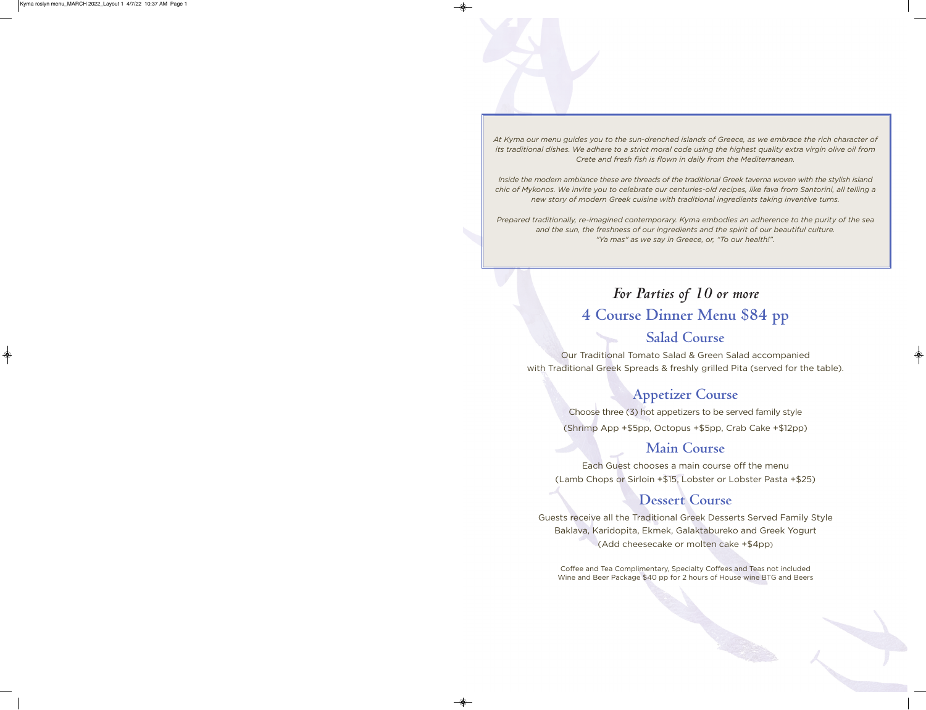At Kyma our menu guides you to the sun-drenched islands of Greece, as we embrace the rich character of its traditional dishes. We adhere to a strict moral code using the highest quality extra virgin olive oil from *Crete and fresh fish is flown in daily from the Mediterranean.*

Inside the modern ambiance these are threads of the traditional Greek taverna woven with the stylish island chic of Mykonos. We invite you to celebrate our centuries-old recipes, like fava from Santorini, all telling a *new story of modern Greek cuisine with traditional ingredients taking inventive turns.*

*Prepared traditionally, re-imagined contemporary. Kyma embodies an adherence to the purity of the sea and the sun, the freshness of our ingredients and the spirit of our beautiful culture. "Ya mas" as we say in Greece, or, "To our health!".*

# *For Parties of 10 or more* **4 Course Dinner Menu \$84 pp Salad Course**

Our Traditional Tomato Salad & Green Salad accompanied with Traditional Greek Spreads & freshly grilled Pita (served for the table).

# **Appetizer Course**

Choose three (3) hot appetizers to be served family style (Shrimp App +\$5pp, Octopus +\$5pp, Crab Cake +\$12pp)

# **Main Course**

Each Guest chooses a main course off the menu (Lamb Chops or Sirloin +\$15, Lobster or Lobster Pasta +\$25)

# **Dessert Course**

Guests receive all the Traditional Greek Desserts Served Family Style Baklava, Karidopita, Ekmek, Galaktabureko and Greek Yogurt (Add cheesecake or molten cake +\$4pp)

Coffee and Tea Complimentary, Specialty Coffees and Teas not included Wine and Beer Package \$40 pp for 2 hours of House wine BTG and Beers

Kyma roslyn menu\_MARCH 2022\_Layout 1 4/7/22 10:37 AM Page 1

♦



 $\color{red}\blacklozenge$